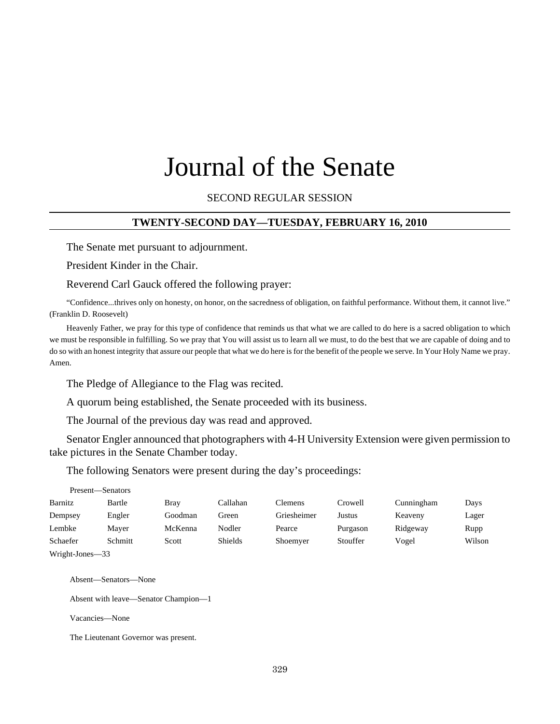# Journal of the Senate

#### SECOND REGULAR SESSION

#### **TWENTY-SECOND DAY—TUESDAY, FEBRUARY 16, 2010**

The Senate met pursuant to adjournment.

President Kinder in the Chair.

Reverend Carl Gauck offered the following prayer:

"Confidence...thrives only on honesty, on honor, on the sacredness of obligation, on faithful performance. Without them, it cannot live." (Franklin D. Roosevelt)

Heavenly Father, we pray for this type of confidence that reminds us that what we are called to do here is a sacred obligation to which we must be responsible in fulfilling. So we pray that You will assist us to learn all we must, to do the best that we are capable of doing and to do so with an honest integrity that assure our people that what we do here is for the benefit of the people we serve. In Your Holy Name we pray. Amen.

The Pledge of Allegiance to the Flag was recited.

A quorum being established, the Senate proceeded with its business.

The Journal of the previous day was read and approved.

Senator Engler announced that photographers with 4-H University Extension were given permission to take pictures in the Senate Chamber today.

The following Senators were present during the day's proceedings:

| Present—Senators |         |         |          |             |          |            |        |
|------------------|---------|---------|----------|-------------|----------|------------|--------|
| Barnitz          | Bartle  | Bray    | Callahan | Clemens     | Crowell  | Cunningham | Days   |
| Dempsey          | Engler  | Goodman | Green    | Griesheimer | Justus   | Keaveny    | Lager  |
| Lembke           | Maver   | McKenna | Nodler   | Pearce      | Purgason | Ridgeway   | Rupp   |
| Schaefer         | Schmitt | Scott   | Shields  | Shoemyer    | Stouffer | Vogel      | Wilson |
| Wright-Jones-33  |         |         |          |             |          |            |        |

Absent—Senators—None

Absent with leave—Senator Champion—1

Vacancies—None

The Lieutenant Governor was present.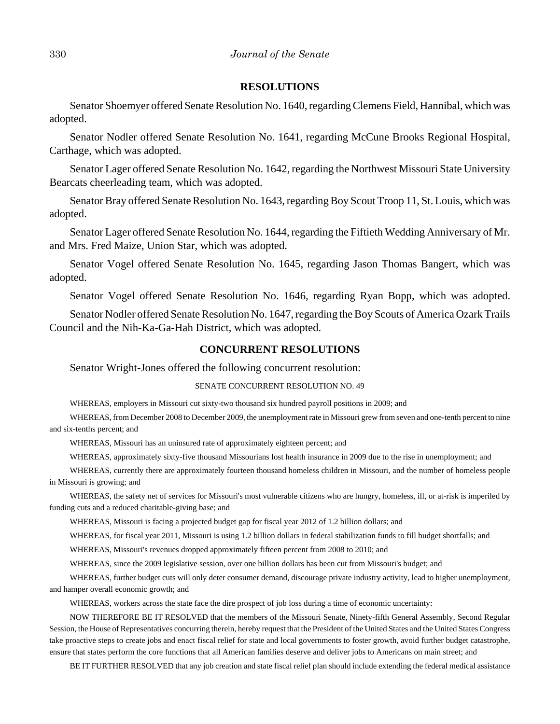#### **RESOLUTIONS**

Senator Shoemyer offered Senate Resolution No. 1640, regarding Clemens Field, Hannibal, which was adopted.

Senator Nodler offered Senate Resolution No. 1641, regarding McCune Brooks Regional Hospital, Carthage, which was adopted.

Senator Lager offered Senate Resolution No. 1642, regarding the Northwest Missouri State University Bearcats cheerleading team, which was adopted.

Senator Bray offered Senate Resolution No. 1643, regarding Boy Scout Troop 11, St. Louis, which was adopted.

Senator Lager offered Senate Resolution No. 1644, regarding the Fiftieth Wedding Anniversary of Mr. and Mrs. Fred Maize, Union Star, which was adopted.

Senator Vogel offered Senate Resolution No. 1645, regarding Jason Thomas Bangert, which was adopted.

Senator Vogel offered Senate Resolution No. 1646, regarding Ryan Bopp, which was adopted.

Senator Nodler offered Senate Resolution No. 1647, regarding the Boy Scouts of America Ozark Trails Council and the Nih-Ka-Ga-Hah District, which was adopted.

#### **CONCURRENT RESOLUTIONS**

Senator Wright-Jones offered the following concurrent resolution:

#### SENATE CONCURRENT RESOLUTION NO. 49

WHEREAS, employers in Missouri cut sixty-two thousand six hundred payroll positions in 2009; and

WHEREAS, from December 2008 to December 2009, the unemployment rate in Missouri grew from seven and one-tenth percent to nine and six-tenths percent; and

WHEREAS, Missouri has an uninsured rate of approximately eighteen percent; and

WHEREAS, approximately sixty-five thousand Missourians lost health insurance in 2009 due to the rise in unemployment; and

WHEREAS, currently there are approximately fourteen thousand homeless children in Missouri, and the number of homeless people in Missouri is growing; and

WHEREAS, the safety net of services for Missouri's most vulnerable citizens who are hungry, homeless, ill, or at-risk is imperiled by funding cuts and a reduced charitable-giving base; and

WHEREAS, Missouri is facing a projected budget gap for fiscal year 2012 of 1.2 billion dollars; and

WHEREAS, for fiscal year 2011, Missouri is using 1.2 billion dollars in federal stabilization funds to fill budget shortfalls; and

WHEREAS, Missouri's revenues dropped approximately fifteen percent from 2008 to 2010; and

WHEREAS, since the 2009 legislative session, over one billion dollars has been cut from Missouri's budget; and

WHEREAS, further budget cuts will only deter consumer demand, discourage private industry activity, lead to higher unemployment, and hamper overall economic growth; and

WHEREAS, workers across the state face the dire prospect of job loss during a time of economic uncertainty:

NOW THEREFORE BE IT RESOLVED that the members of the Missouri Senate, Ninety-fifth General Assembly, Second Regular Session, the House of Representatives concurring therein, hereby request that the President of the United States and the United States Congress take proactive steps to create jobs and enact fiscal relief for state and local governments to foster growth, avoid further budget catastrophe, ensure that states perform the core functions that all American families deserve and deliver jobs to Americans on main street; and

BE IT FURTHER RESOLVED that any job creation and state fiscal relief plan should include extending the federal medical assistance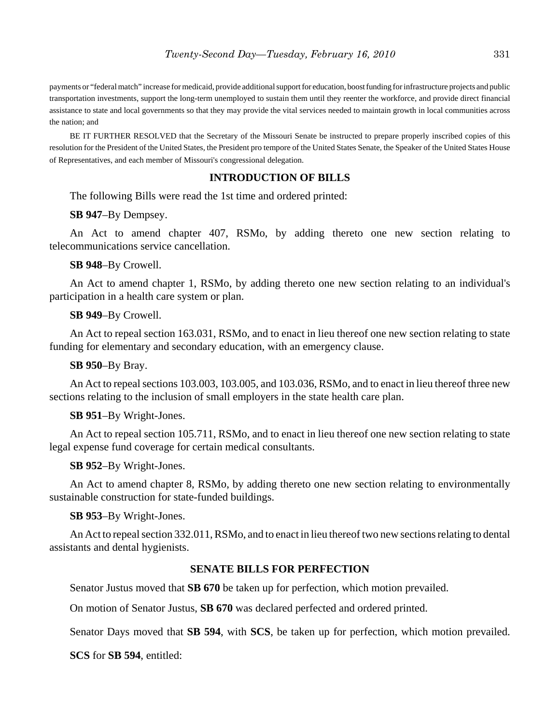payments or "federal match" increase for medicaid, provide additional support for education, boost funding for infrastructure projects and public transportation investments, support the long-term unemployed to sustain them until they reenter the workforce, and provide direct financial assistance to state and local governments so that they may provide the vital services needed to maintain growth in local communities across the nation; and

BE IT FURTHER RESOLVED that the Secretary of the Missouri Senate be instructed to prepare properly inscribed copies of this resolution for the President of the United States, the President pro tempore of the United States Senate, the Speaker of the United States House of Representatives, and each member of Missouri's congressional delegation.

#### **INTRODUCTION OF BILLS**

The following Bills were read the 1st time and ordered printed:

**SB 947**–By Dempsey.

An Act to amend chapter 407, RSMo, by adding thereto one new section relating to telecommunications service cancellation.

**SB 948**–By Crowell.

An Act to amend chapter 1, RSMo, by adding thereto one new section relating to an individual's participation in a health care system or plan.

**SB 949**–By Crowell.

An Act to repeal section 163.031, RSMo, and to enact in lieu thereof one new section relating to state funding for elementary and secondary education, with an emergency clause.

**SB 950**–By Bray.

An Act to repeal sections 103.003, 103.005, and 103.036, RSMo, and to enact in lieu thereof three new sections relating to the inclusion of small employers in the state health care plan.

**SB 951**–By Wright-Jones.

An Act to repeal section 105.711, RSMo, and to enact in lieu thereof one new section relating to state legal expense fund coverage for certain medical consultants.

**SB 952**–By Wright-Jones.

An Act to amend chapter 8, RSMo, by adding thereto one new section relating to environmentally sustainable construction for state-funded buildings.

**SB 953**–By Wright-Jones.

An Act to repeal section 332.011, RSMo, and to enact in lieu thereof two new sections relating to dental assistants and dental hygienists.

#### **SENATE BILLS FOR PERFECTION**

Senator Justus moved that **SB 670** be taken up for perfection, which motion prevailed.

On motion of Senator Justus, **SB 670** was declared perfected and ordered printed.

Senator Days moved that **SB 594**, with **SCS**, be taken up for perfection, which motion prevailed.

**SCS** for **SB 594**, entitled: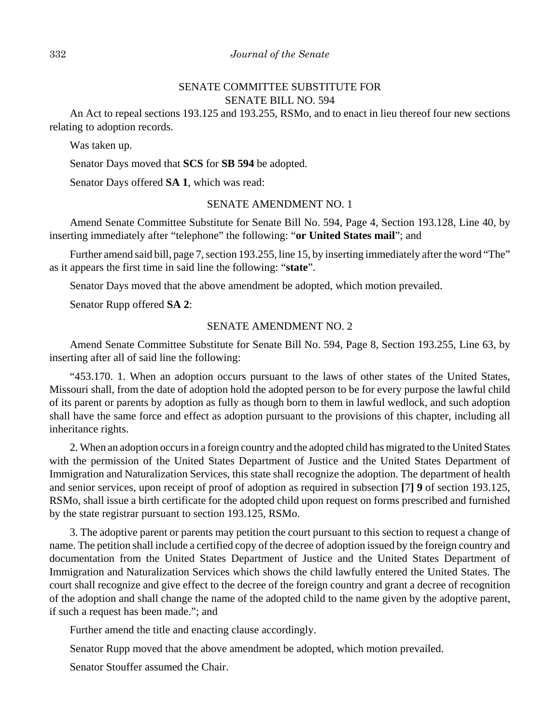#### 332 *Journal of the Senate*

# SENATE COMMITTEE SUBSTITUTE FOR SENATE BILL NO. 594

An Act to repeal sections 193.125 and 193.255, RSMo, and to enact in lieu thereof four new sections relating to adoption records.

Was taken up.

Senator Days moved that **SCS** for **SB 594** be adopted.

Senator Days offered **SA 1**, which was read:

#### SENATE AMENDMENT NO. 1

Amend Senate Committee Substitute for Senate Bill No. 594, Page 4, Section 193.128, Line 40, by inserting immediately after "telephone" the following: "**or United States mail**"; and

Further amend said bill, page 7, section 193.255, line 15, by inserting immediately after the word "The" as it appears the first time in said line the following: "**state**".

Senator Days moved that the above amendment be adopted, which motion prevailed.

Senator Rupp offered **SA 2**:

#### SENATE AMENDMENT NO. 2

Amend Senate Committee Substitute for Senate Bill No. 594, Page 8, Section 193.255, Line 63, by inserting after all of said line the following:

"453.170. 1. When an adoption occurs pursuant to the laws of other states of the United States, Missouri shall, from the date of adoption hold the adopted person to be for every purpose the lawful child of its parent or parents by adoption as fully as though born to them in lawful wedlock, and such adoption shall have the same force and effect as adoption pursuant to the provisions of this chapter, including all inheritance rights.

2. When an adoption occurs in a foreign country and the adopted child has migrated to the United States with the permission of the United States Department of Justice and the United States Department of Immigration and Naturalization Services, this state shall recognize the adoption. The department of health and senior services, upon receipt of proof of adoption as required in subsection **[**7**] 9** of section 193.125, RSMo, shall issue a birth certificate for the adopted child upon request on forms prescribed and furnished by the state registrar pursuant to section 193.125, RSMo.

3. The adoptive parent or parents may petition the court pursuant to this section to request a change of name. The petition shall include a certified copy of the decree of adoption issued by the foreign country and documentation from the United States Department of Justice and the United States Department of Immigration and Naturalization Services which shows the child lawfully entered the United States. The court shall recognize and give effect to the decree of the foreign country and grant a decree of recognition of the adoption and shall change the name of the adopted child to the name given by the adoptive parent, if such a request has been made."; and

Further amend the title and enacting clause accordingly.

Senator Rupp moved that the above amendment be adopted, which motion prevailed.

Senator Stouffer assumed the Chair.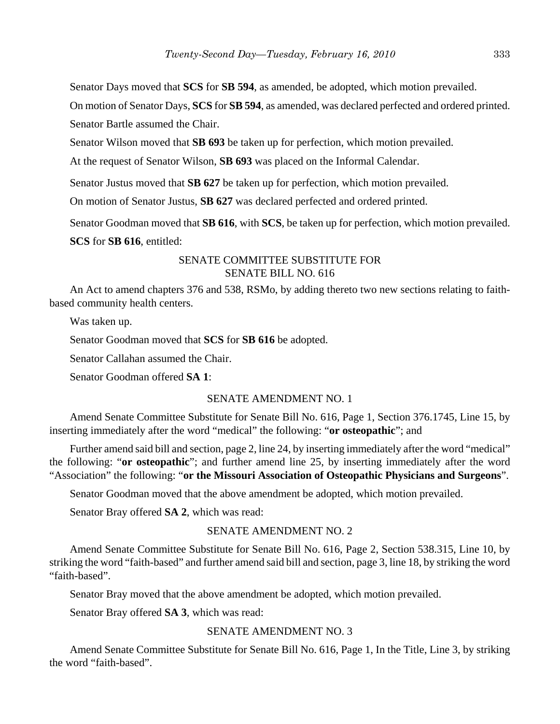Senator Days moved that **SCS** for **SB 594**, as amended, be adopted, which motion prevailed.

On motion of Senator Days, **SCS** for **SB 594**, as amended, was declared perfected and ordered printed. Senator Bartle assumed the Chair.

Senator Wilson moved that **SB 693** be taken up for perfection, which motion prevailed.

At the request of Senator Wilson, **SB 693** was placed on the Informal Calendar.

Senator Justus moved that **SB 627** be taken up for perfection, which motion prevailed.

On motion of Senator Justus, **SB 627** was declared perfected and ordered printed.

Senator Goodman moved that **SB 616**, with **SCS**, be taken up for perfection, which motion prevailed. **SCS** for **SB 616**, entitled:

# SENATE COMMITTEE SUBSTITUTE FOR SENATE BILL NO. 616

An Act to amend chapters 376 and 538, RSMo, by adding thereto two new sections relating to faithbased community health centers.

Was taken up.

Senator Goodman moved that **SCS** for **SB 616** be adopted.

Senator Callahan assumed the Chair.

Senator Goodman offered **SA 1**:

#### SENATE AMENDMENT NO. 1

Amend Senate Committee Substitute for Senate Bill No. 616, Page 1, Section 376.1745, Line 15, by inserting immediately after the word "medical" the following: "**or osteopathic**"; and

Further amend said bill and section, page 2, line 24, by inserting immediately after the word "medical" the following: "**or osteopathic**"; and further amend line 25, by inserting immediately after the word "Association" the following: "**or the Missouri Association of Osteopathic Physicians and Surgeons**".

Senator Goodman moved that the above amendment be adopted, which motion prevailed.

Senator Bray offered **SA 2**, which was read:

# SENATE AMENDMENT NO. 2

Amend Senate Committee Substitute for Senate Bill No. 616, Page 2, Section 538.315, Line 10, by striking the word "faith-based" and further amend said bill and section, page 3, line 18, by striking the word "faith-based".

Senator Bray moved that the above amendment be adopted, which motion prevailed.

Senator Bray offered **SA 3**, which was read:

## SENATE AMENDMENT NO. 3

Amend Senate Committee Substitute for Senate Bill No. 616, Page 1, In the Title, Line 3, by striking the word "faith-based".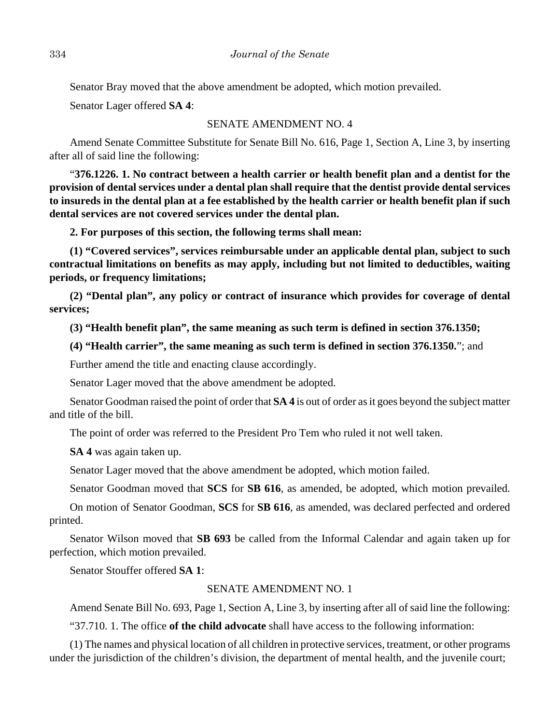Senator Bray moved that the above amendment be adopted, which motion prevailed.

Senator Lager offered **SA 4**:

#### SENATE AMENDMENT NO. 4

Amend Senate Committee Substitute for Senate Bill No. 616, Page 1, Section A, Line 3, by inserting after all of said line the following:

"**376.1226. 1. No contract between a health carrier or health benefit plan and a dentist for the provision of dental services under a dental plan shall require that the dentist provide dental services to insureds in the dental plan at a fee established by the health carrier or health benefit plan if such dental services are not covered services under the dental plan.**

**2. For purposes of this section, the following terms shall mean:**

**(1) "Covered services", services reimbursable under an applicable dental plan, subject to such contractual limitations on benefits as may apply, including but not limited to deductibles, waiting periods, or frequency limitations;**

**(2) "Dental plan", any policy or contract of insurance which provides for coverage of dental services;**

**(3) "Health benefit plan", the same meaning as such term is defined in section 376.1350;**

**(4) "Health carrier", the same meaning as such term is defined in section 376.1350.**"; and

Further amend the title and enacting clause accordingly.

Senator Lager moved that the above amendment be adopted.

Senator Goodman raised the point of order that **SA 4** is out of order as it goes beyond the subject matter and title of the bill.

The point of order was referred to the President Pro Tem who ruled it not well taken.

**SA 4** was again taken up.

Senator Lager moved that the above amendment be adopted, which motion failed.

Senator Goodman moved that **SCS** for **SB 616**, as amended, be adopted, which motion prevailed.

On motion of Senator Goodman, **SCS** for **SB 616**, as amended, was declared perfected and ordered printed.

Senator Wilson moved that **SB 693** be called from the Informal Calendar and again taken up for perfection, which motion prevailed.

Senator Stouffer offered **SA 1**:

### SENATE AMENDMENT NO. 1

Amend Senate Bill No. 693, Page 1, Section A, Line 3, by inserting after all of said line the following:

"37.710. 1. The office **of the child advocate** shall have access to the following information:

(1) The names and physical location of all children in protective services, treatment, or other programs under the jurisdiction of the children's division, the department of mental health, and the juvenile court;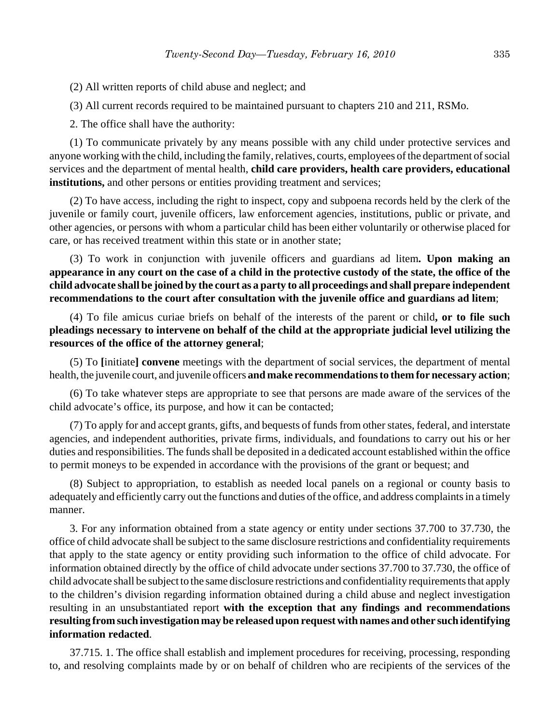(2) All written reports of child abuse and neglect; and

(3) All current records required to be maintained pursuant to chapters 210 and 211, RSMo.

2. The office shall have the authority:

(1) To communicate privately by any means possible with any child under protective services and anyone working with the child, including the family, relatives, courts, employees of the department of social services and the department of mental health, **child care providers, health care providers, educational institutions,** and other persons or entities providing treatment and services;

(2) To have access, including the right to inspect, copy and subpoena records held by the clerk of the juvenile or family court, juvenile officers, law enforcement agencies, institutions, public or private, and other agencies, or persons with whom a particular child has been either voluntarily or otherwise placed for care, or has received treatment within this state or in another state;

(3) To work in conjunction with juvenile officers and guardians ad litem**. Upon making an appearance in any court on the case of a child in the protective custody of the state, the office of the child advocate shall be joined by the court as a party to all proceedings and shall prepare independent recommendations to the court after consultation with the juvenile office and guardians ad litem**;

(4) To file amicus curiae briefs on behalf of the interests of the parent or child**, or to file such pleadings necessary to intervene on behalf of the child at the appropriate judicial level utilizing the resources of the office of the attorney general**;

(5) To **[**initiate**] convene** meetings with the department of social services, the department of mental health, the juvenile court, and juvenile officers **and make recommendations to them for necessary action**;

(6) To take whatever steps are appropriate to see that persons are made aware of the services of the child advocate's office, its purpose, and how it can be contacted;

(7) To apply for and accept grants, gifts, and bequests of funds from other states, federal, and interstate agencies, and independent authorities, private firms, individuals, and foundations to carry out his or her duties and responsibilities. The funds shall be deposited in a dedicated account established within the office to permit moneys to be expended in accordance with the provisions of the grant or bequest; and

(8) Subject to appropriation, to establish as needed local panels on a regional or county basis to adequately and efficiently carry out the functions and duties of the office, and address complaints in a timely manner.

3. For any information obtained from a state agency or entity under sections 37.700 to 37.730, the office of child advocate shall be subject to the same disclosure restrictions and confidentiality requirements that apply to the state agency or entity providing such information to the office of child advocate. For information obtained directly by the office of child advocate under sections 37.700 to 37.730, the office of child advocate shall be subject to the same disclosure restrictions and confidentiality requirements that apply to the children's division regarding information obtained during a child abuse and neglect investigation resulting in an unsubstantiated report **with the exception that any findings and recommendations resulting from such investigation may be released upon request with names and other such identifying information redacted**.

37.715. 1. The office shall establish and implement procedures for receiving, processing, responding to, and resolving complaints made by or on behalf of children who are recipients of the services of the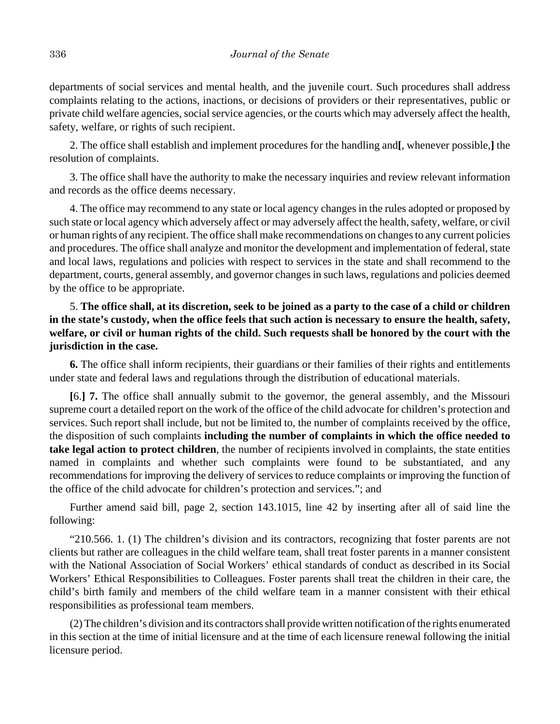departments of social services and mental health, and the juvenile court. Such procedures shall address complaints relating to the actions, inactions, or decisions of providers or their representatives, public or private child welfare agencies, social service agencies, or the courts which may adversely affect the health, safety, welfare, or rights of such recipient.

2. The office shall establish and implement procedures for the handling and**[**, whenever possible,**]** the resolution of complaints.

3. The office shall have the authority to make the necessary inquiries and review relevant information and records as the office deems necessary.

4. The office may recommend to any state or local agency changes in the rules adopted or proposed by such state or local agency which adversely affect or may adversely affect the health, safety, welfare, or civil or human rights of any recipient. The office shall make recommendations on changes to any current policies and procedures. The office shall analyze and monitor the development and implementation of federal, state and local laws, regulations and policies with respect to services in the state and shall recommend to the department, courts, general assembly, and governor changes in such laws, regulations and policies deemed by the office to be appropriate.

# 5. **The office shall, at its discretion, seek to be joined as a party to the case of a child or children in the state's custody, when the office feels that such action is necessary to ensure the health, safety, welfare, or civil or human rights of the child. Such requests shall be honored by the court with the jurisdiction in the case.**

**6.** The office shall inform recipients, their guardians or their families of their rights and entitlements under state and federal laws and regulations through the distribution of educational materials.

**[**6.**] 7.** The office shall annually submit to the governor, the general assembly, and the Missouri supreme court a detailed report on the work of the office of the child advocate for children's protection and services. Such report shall include, but not be limited to, the number of complaints received by the office, the disposition of such complaints **including the number of complaints in which the office needed to take legal action to protect children**, the number of recipients involved in complaints, the state entities named in complaints and whether such complaints were found to be substantiated, and any recommendations for improving the delivery of services to reduce complaints or improving the function of the office of the child advocate for children's protection and services."; and

Further amend said bill, page 2, section 143.1015, line 42 by inserting after all of said line the following:

"210.566. 1. (1) The children's division and its contractors, recognizing that foster parents are not clients but rather are colleagues in the child welfare team, shall treat foster parents in a manner consistent with the National Association of Social Workers' ethical standards of conduct as described in its Social Workers' Ethical Responsibilities to Colleagues. Foster parents shall treat the children in their care, the child's birth family and members of the child welfare team in a manner consistent with their ethical responsibilities as professional team members.

(2) The children's division and its contractors shall provide written notification of the rights enumerated in this section at the time of initial licensure and at the time of each licensure renewal following the initial licensure period.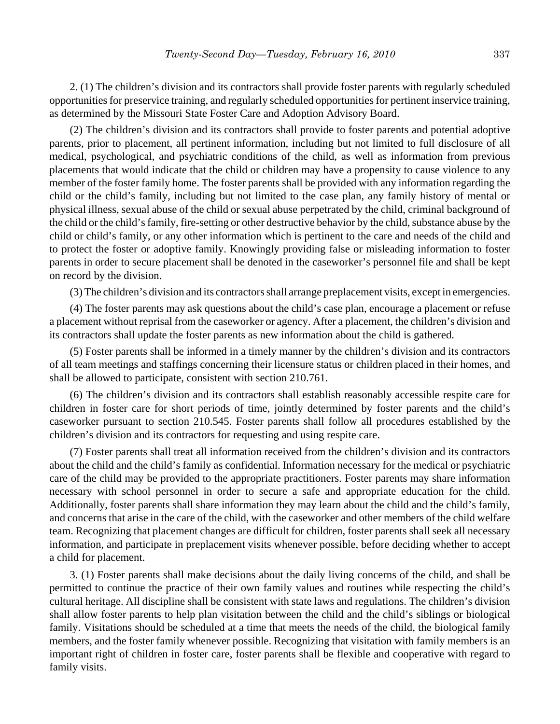2. (1) The children's division and its contractors shall provide foster parents with regularly scheduled opportunities for preservice training, and regularly scheduled opportunities for pertinent inservice training, as determined by the Missouri State Foster Care and Adoption Advisory Board.

(2) The children's division and its contractors shall provide to foster parents and potential adoptive parents, prior to placement, all pertinent information, including but not limited to full disclosure of all medical, psychological, and psychiatric conditions of the child, as well as information from previous placements that would indicate that the child or children may have a propensity to cause violence to any member of the foster family home. The foster parents shall be provided with any information regarding the child or the child's family, including but not limited to the case plan, any family history of mental or physical illness, sexual abuse of the child or sexual abuse perpetrated by the child, criminal background of the child or the child's family, fire-setting or other destructive behavior by the child, substance abuse by the child or child's family, or any other information which is pertinent to the care and needs of the child and to protect the foster or adoptive family. Knowingly providing false or misleading information to foster parents in order to secure placement shall be denoted in the caseworker's personnel file and shall be kept on record by the division.

(3) The children's division and its contractors shall arrange preplacement visits, except in emergencies.

(4) The foster parents may ask questions about the child's case plan, encourage a placement or refuse a placement without reprisal from the caseworker or agency. After a placement, the children's division and its contractors shall update the foster parents as new information about the child is gathered.

(5) Foster parents shall be informed in a timely manner by the children's division and its contractors of all team meetings and staffings concerning their licensure status or children placed in their homes, and shall be allowed to participate, consistent with section 210.761.

(6) The children's division and its contractors shall establish reasonably accessible respite care for children in foster care for short periods of time, jointly determined by foster parents and the child's caseworker pursuant to section 210.545. Foster parents shall follow all procedures established by the children's division and its contractors for requesting and using respite care.

(7) Foster parents shall treat all information received from the children's division and its contractors about the child and the child's family as confidential. Information necessary for the medical or psychiatric care of the child may be provided to the appropriate practitioners. Foster parents may share information necessary with school personnel in order to secure a safe and appropriate education for the child. Additionally, foster parents shall share information they may learn about the child and the child's family, and concerns that arise in the care of the child, with the caseworker and other members of the child welfare team. Recognizing that placement changes are difficult for children, foster parents shall seek all necessary information, and participate in preplacement visits whenever possible, before deciding whether to accept a child for placement.

3. (1) Foster parents shall make decisions about the daily living concerns of the child, and shall be permitted to continue the practice of their own family values and routines while respecting the child's cultural heritage. All discipline shall be consistent with state laws and regulations. The children's division shall allow foster parents to help plan visitation between the child and the child's siblings or biological family. Visitations should be scheduled at a time that meets the needs of the child, the biological family members, and the foster family whenever possible. Recognizing that visitation with family members is an important right of children in foster care, foster parents shall be flexible and cooperative with regard to family visits.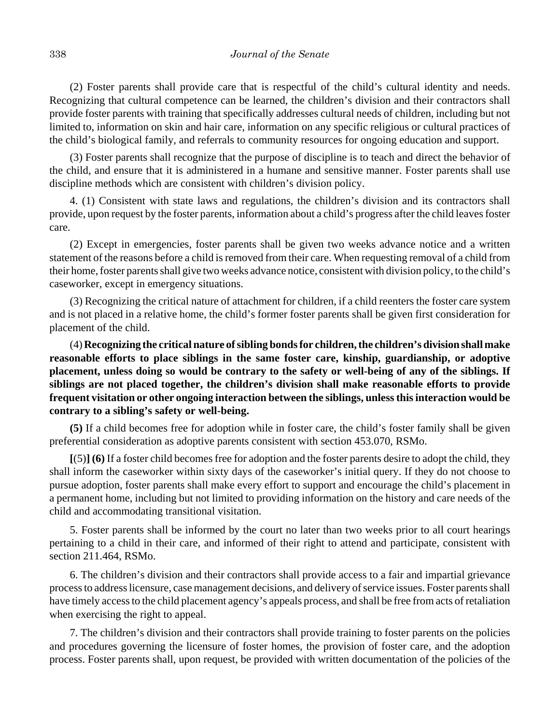(2) Foster parents shall provide care that is respectful of the child's cultural identity and needs. Recognizing that cultural competence can be learned, the children's division and their contractors shall provide foster parents with training that specifically addresses cultural needs of children, including but not limited to, information on skin and hair care, information on any specific religious or cultural practices of the child's biological family, and referrals to community resources for ongoing education and support.

(3) Foster parents shall recognize that the purpose of discipline is to teach and direct the behavior of the child, and ensure that it is administered in a humane and sensitive manner. Foster parents shall use discipline methods which are consistent with children's division policy.

4. (1) Consistent with state laws and regulations, the children's division and its contractors shall provide, upon request by the foster parents, information about a child's progress after the child leaves foster care.

(2) Except in emergencies, foster parents shall be given two weeks advance notice and a written statement of the reasons before a child is removed from their care. When requesting removal of a child from their home, foster parents shall give two weeks advance notice, consistent with division policy, to the child's caseworker, except in emergency situations.

(3) Recognizing the critical nature of attachment for children, if a child reenters the foster care system and is not placed in a relative home, the child's former foster parents shall be given first consideration for placement of the child.

(4) **Recognizing the critical nature of sibling bonds for children, the children's division shall make reasonable efforts to place siblings in the same foster care, kinship, guardianship, or adoptive placement, unless doing so would be contrary to the safety or well-being of any of the siblings. If siblings are not placed together, the children's division shall make reasonable efforts to provide frequent visitation or other ongoing interaction between the siblings, unless this interaction would be contrary to a sibling's safety or well-being.**

**(5)** If a child becomes free for adoption while in foster care, the child's foster family shall be given preferential consideration as adoptive parents consistent with section 453.070, RSMo.

**[**(5)**] (6)** If a foster child becomes free for adoption and the foster parents desire to adopt the child, they shall inform the caseworker within sixty days of the caseworker's initial query. If they do not choose to pursue adoption, foster parents shall make every effort to support and encourage the child's placement in a permanent home, including but not limited to providing information on the history and care needs of the child and accommodating transitional visitation.

5. Foster parents shall be informed by the court no later than two weeks prior to all court hearings pertaining to a child in their care, and informed of their right to attend and participate, consistent with section 211.464, RSMo.

6. The children's division and their contractors shall provide access to a fair and impartial grievance process to address licensure, case management decisions, and delivery of service issues. Foster parents shall have timely access to the child placement agency's appeals process, and shall be free from acts of retaliation when exercising the right to appeal.

7. The children's division and their contractors shall provide training to foster parents on the policies and procedures governing the licensure of foster homes, the provision of foster care, and the adoption process. Foster parents shall, upon request, be provided with written documentation of the policies of the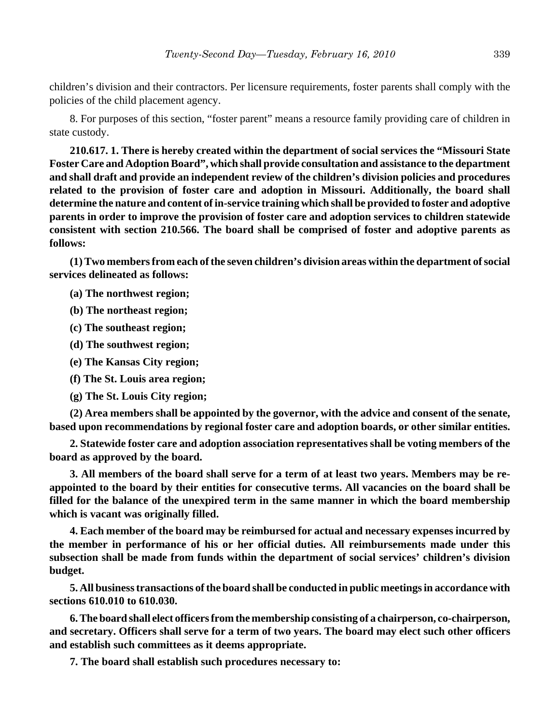children's division and their contractors. Per licensure requirements, foster parents shall comply with the policies of the child placement agency.

8. For purposes of this section, "foster parent" means a resource family providing care of children in state custody.

**210.617. 1. There is hereby created within the department of social services the "Missouri State Foster Care and Adoption Board", which shall provide consultation and assistance to the department and shall draft and provide an independent review of the children's division policies and procedures related to the provision of foster care and adoption in Missouri. Additionally, the board shall determine the nature and content of in-service training which shall be provided to foster and adoptive parents in order to improve the provision of foster care and adoption services to children statewide consistent with section 210.566. The board shall be comprised of foster and adoptive parents as follows:**

**(1) Two members from each of the seven children's division areas within the department of social services delineated as follows:**

- **(a) The northwest region;**
- **(b) The northeast region;**
- **(c) The southeast region;**
- **(d) The southwest region;**
- **(e) The Kansas City region;**
- **(f) The St. Louis area region;**
- **(g) The St. Louis City region;**

**(2) Area members shall be appointed by the governor, with the advice and consent of the senate, based upon recommendations by regional foster care and adoption boards, or other similar entities.**

**2. Statewide foster care and adoption association representatives shall be voting members of the board as approved by the board.**

**3. All members of the board shall serve for a term of at least two years. Members may be reappointed to the board by their entities for consecutive terms. All vacancies on the board shall be filled for the balance of the unexpired term in the same manner in which the board membership which is vacant was originally filled.**

**4. Each member of the board may be reimbursed for actual and necessary expenses incurred by the member in performance of his or her official duties. All reimbursements made under this subsection shall be made from funds within the department of social services' children's division budget.**

**5. All business transactions of the board shall be conducted in public meetings in accordance with sections 610.010 to 610.030.**

**6. The board shall elect officers from the membership consisting of a chairperson, co-chairperson, and secretary. Officers shall serve for a term of two years. The board may elect such other officers and establish such committees as it deems appropriate.**

**7. The board shall establish such procedures necessary to:**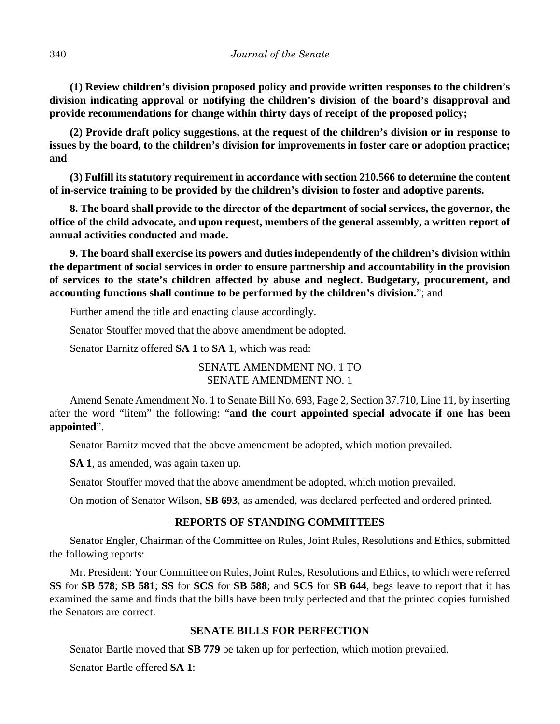**(1) Review children's division proposed policy and provide written responses to the children's division indicating approval or notifying the children's division of the board's disapproval and provide recommendations for change within thirty days of receipt of the proposed policy;**

**(2) Provide draft policy suggestions, at the request of the children's division or in response to issues by the board, to the children's division for improvements in foster care or adoption practice; and**

**(3) Fulfill its statutory requirement in accordance with section 210.566 to determine the content of in-service training to be provided by the children's division to foster and adoptive parents.**

**8. The board shall provide to the director of the department of social services, the governor, the office of the child advocate, and upon request, members of the general assembly, a written report of annual activities conducted and made.**

**9. The board shall exercise its powers and duties independently of the children's division within the department of social services in order to ensure partnership and accountability in the provision of services to the state's children affected by abuse and neglect. Budgetary, procurement, and accounting functions shall continue to be performed by the children's division.**"; and

Further amend the title and enacting clause accordingly.

Senator Stouffer moved that the above amendment be adopted.

Senator Barnitz offered **SA 1** to **SA 1**, which was read:

SENATE AMENDMENT NO. 1 TO SENATE AMENDMENT NO. 1

Amend Senate Amendment No. 1 to Senate Bill No. 693, Page 2, Section 37.710, Line 11, by inserting after the word "litem" the following: "**and the court appointed special advocate if one has been appointed**".

Senator Barnitz moved that the above amendment be adopted, which motion prevailed.

**SA 1**, as amended, was again taken up.

Senator Stouffer moved that the above amendment be adopted, which motion prevailed.

On motion of Senator Wilson, **SB 693**, as amended, was declared perfected and ordered printed.

## **REPORTS OF STANDING COMMITTEES**

Senator Engler, Chairman of the Committee on Rules, Joint Rules, Resolutions and Ethics, submitted the following reports:

Mr. President: Your Committee on Rules, Joint Rules, Resolutions and Ethics, to which were referred **SS** for **SB 578**; **SB 581**; **SS** for **SCS** for **SB 588**; and **SCS** for **SB 644**, begs leave to report that it has examined the same and finds that the bills have been truly perfected and that the printed copies furnished the Senators are correct.

# **SENATE BILLS FOR PERFECTION**

Senator Bartle moved that **SB 779** be taken up for perfection, which motion prevailed.

Senator Bartle offered **SA 1**: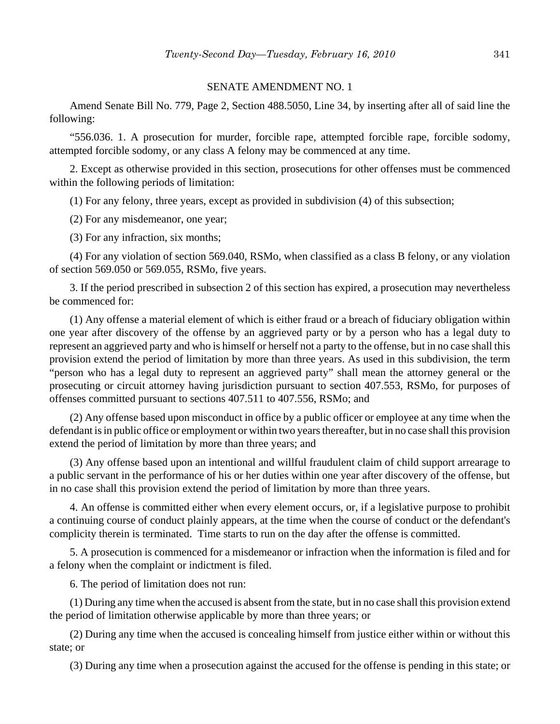#### SENATE AMENDMENT NO. 1

Amend Senate Bill No. 779, Page 2, Section 488.5050, Line 34, by inserting after all of said line the following:

"556.036. 1. A prosecution for murder, forcible rape, attempted forcible rape, forcible sodomy, attempted forcible sodomy, or any class A felony may be commenced at any time.

2. Except as otherwise provided in this section, prosecutions for other offenses must be commenced within the following periods of limitation:

(1) For any felony, three years, except as provided in subdivision (4) of this subsection;

(2) For any misdemeanor, one year;

(3) For any infraction, six months;

(4) For any violation of section 569.040, RSMo, when classified as a class B felony, or any violation of section 569.050 or 569.055, RSMo, five years.

3. If the period prescribed in subsection 2 of this section has expired, a prosecution may nevertheless be commenced for:

(1) Any offense a material element of which is either fraud or a breach of fiduciary obligation within one year after discovery of the offense by an aggrieved party or by a person who has a legal duty to represent an aggrieved party and who is himself or herself not a party to the offense, but in no case shall this provision extend the period of limitation by more than three years. As used in this subdivision, the term "person who has a legal duty to represent an aggrieved party" shall mean the attorney general or the prosecuting or circuit attorney having jurisdiction pursuant to section 407.553, RSMo, for purposes of offenses committed pursuant to sections 407.511 to 407.556, RSMo; and

(2) Any offense based upon misconduct in office by a public officer or employee at any time when the defendant is in public office or employment or within two years thereafter, but in no case shall this provision extend the period of limitation by more than three years; and

(3) Any offense based upon an intentional and willful fraudulent claim of child support arrearage to a public servant in the performance of his or her duties within one year after discovery of the offense, but in no case shall this provision extend the period of limitation by more than three years.

4. An offense is committed either when every element occurs, or, if a legislative purpose to prohibit a continuing course of conduct plainly appears, at the time when the course of conduct or the defendant's complicity therein is terminated. Time starts to run on the day after the offense is committed.

5. A prosecution is commenced for a misdemeanor or infraction when the information is filed and for a felony when the complaint or indictment is filed.

6. The period of limitation does not run:

(1) During any time when the accused is absent from the state, but in no case shall this provision extend the period of limitation otherwise applicable by more than three years; or

(2) During any time when the accused is concealing himself from justice either within or without this state; or

(3) During any time when a prosecution against the accused for the offense is pending in this state; or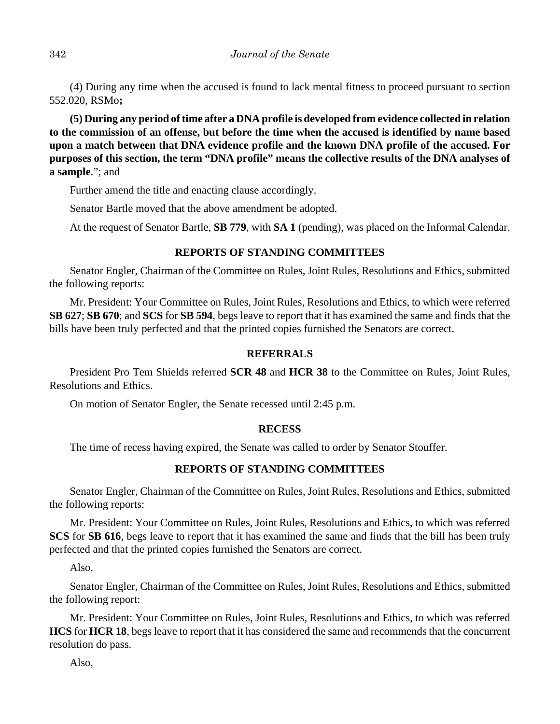(4) During any time when the accused is found to lack mental fitness to proceed pursuant to section 552.020, RSMo**;**

**(5) During any period of time after a DNA profile is developed from evidence collected in relation to the commission of an offense, but before the time when the accused is identified by name based upon a match between that DNA evidence profile and the known DNA profile of the accused. For purposes of this section, the term "DNA profile" means the collective results of the DNA analyses of a sample**."; and

Further amend the title and enacting clause accordingly.

Senator Bartle moved that the above amendment be adopted.

At the request of Senator Bartle, **SB 779**, with **SA 1** (pending), was placed on the Informal Calendar.

# **REPORTS OF STANDING COMMITTEES**

Senator Engler, Chairman of the Committee on Rules, Joint Rules, Resolutions and Ethics, submitted the following reports:

Mr. President: Your Committee on Rules, Joint Rules, Resolutions and Ethics, to which were referred **SB 627**; **SB 670**; and **SCS** for **SB 594**, begs leave to report that it has examined the same and finds that the bills have been truly perfected and that the printed copies furnished the Senators are correct.

# **REFERRALS**

President Pro Tem Shields referred **SCR 48** and **HCR 38** to the Committee on Rules, Joint Rules, Resolutions and Ethics.

On motion of Senator Engler, the Senate recessed until 2:45 p.m.

# **RECESS**

The time of recess having expired, the Senate was called to order by Senator Stouffer.

# **REPORTS OF STANDING COMMITTEES**

Senator Engler, Chairman of the Committee on Rules, Joint Rules, Resolutions and Ethics, submitted the following reports:

Mr. President: Your Committee on Rules, Joint Rules, Resolutions and Ethics, to which was referred **SCS** for **SB 616**, begs leave to report that it has examined the same and finds that the bill has been truly perfected and that the printed copies furnished the Senators are correct.

Also,

Senator Engler, Chairman of the Committee on Rules, Joint Rules, Resolutions and Ethics, submitted the following report:

Mr. President: Your Committee on Rules, Joint Rules, Resolutions and Ethics, to which was referred **HCS** for **HCR 18**, begs leave to report that it has considered the same and recommends that the concurrent resolution do pass.

Also,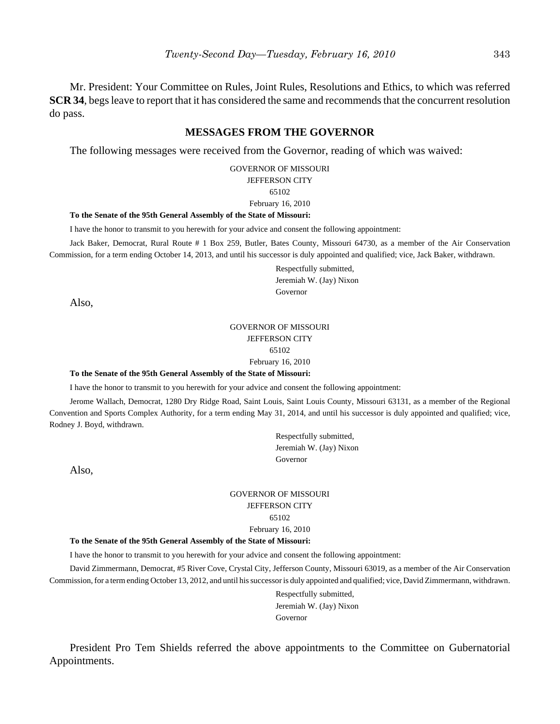Mr. President: Your Committee on Rules, Joint Rules, Resolutions and Ethics, to which was referred **SCR 34**, begs leave to report that it has considered the same and recommends that the concurrent resolution do pass.

## **MESSAGES FROM THE GOVERNOR**

The following messages were received from the Governor, reading of which was waived:

GOVERNOR OF MISSOURI JEFFERSON CITY

#### 65102

#### February 16, 2010

#### **To the Senate of the 95th General Assembly of the State of Missouri:**

I have the honor to transmit to you herewith for your advice and consent the following appointment:

Jack Baker, Democrat, Rural Route # 1 Box 259, Butler, Bates County, Missouri 64730, as a member of the Air Conservation Commission, for a term ending October 14, 2013, and until his successor is duly appointed and qualified; vice, Jack Baker, withdrawn.

> Respectfully submitted, Jeremiah W. (Jay) Nixon Governor

Also,

#### GOVERNOR OF MISSOURI JEFFERSON CITY 65102

February 16, 2010

#### **To the Senate of the 95th General Assembly of the State of Missouri:**

I have the honor to transmit to you herewith for your advice and consent the following appointment:

Jerome Wallach, Democrat, 1280 Dry Ridge Road, Saint Louis, Saint Louis County, Missouri 63131, as a member of the Regional Convention and Sports Complex Authority, for a term ending May 31, 2014, and until his successor is duly appointed and qualified; vice, Rodney J. Boyd, withdrawn.

> Respectfully submitted, Jeremiah W. (Jay) Nixon Governor

Also,

#### GOVERNOR OF MISSOURI JEFFERSON CITY 65102 February 16, 2010

#### **To the Senate of the 95th General Assembly of the State of Missouri:**

I have the honor to transmit to you herewith for your advice and consent the following appointment:

David Zimmermann, Democrat, #5 River Cove, Crystal City, Jefferson County, Missouri 63019, as a member of the Air Conservation Commission, for a term ending October 13, 2012, and until his successor is duly appointed and qualified; vice, David Zimmermann, withdrawn.

> Respectfully submitted, Jeremiah W. (Jay) Nixon Governor

President Pro Tem Shields referred the above appointments to the Committee on Gubernatorial Appointments.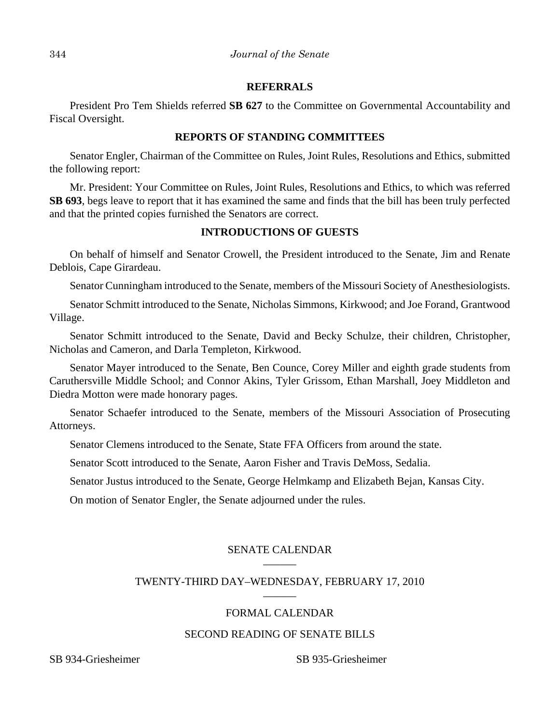#### **REFERRALS**

President Pro Tem Shields referred **SB 627** to the Committee on Governmental Accountability and Fiscal Oversight.

#### **REPORTS OF STANDING COMMITTEES**

Senator Engler, Chairman of the Committee on Rules, Joint Rules, Resolutions and Ethics, submitted the following report:

Mr. President: Your Committee on Rules, Joint Rules, Resolutions and Ethics, to which was referred **SB 693**, begs leave to report that it has examined the same and finds that the bill has been truly perfected and that the printed copies furnished the Senators are correct.

# **INTRODUCTIONS OF GUESTS**

On behalf of himself and Senator Crowell, the President introduced to the Senate, Jim and Renate Deblois, Cape Girardeau.

Senator Cunningham introduced to the Senate, members of the Missouri Society of Anesthesiologists.

Senator Schmitt introduced to the Senate, Nicholas Simmons, Kirkwood; and Joe Forand, Grantwood Village.

Senator Schmitt introduced to the Senate, David and Becky Schulze, their children, Christopher, Nicholas and Cameron, and Darla Templeton, Kirkwood.

Senator Mayer introduced to the Senate, Ben Counce, Corey Miller and eighth grade students from Caruthersville Middle School; and Connor Akins, Tyler Grissom, Ethan Marshall, Joey Middleton and Diedra Motton were made honorary pages.

Senator Schaefer introduced to the Senate, members of the Missouri Association of Prosecuting Attorneys.

Senator Clemens introduced to the Senate, State FFA Officers from around the state.

Senator Scott introduced to the Senate, Aaron Fisher and Travis DeMoss, Sedalia.

Senator Justus introduced to the Senate, George Helmkamp and Elizabeth Bejan, Kansas City.

On motion of Senator Engler, the Senate adjourned under the rules.

# SENATE CALENDAR

## TWENTY-THIRD DAY–WEDNESDAY, FEBRUARY 17, 2010 \_\_\_\_\_\_

# FORMAL CALENDAR

# SECOND READING OF SENATE BILLS

SB 934-Griesheimer SB 935-Griesheimer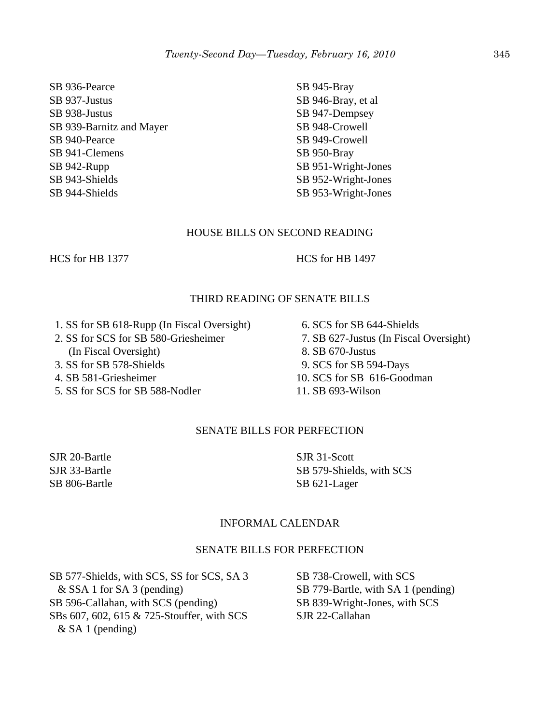SB 936-Pearce SB 937-Justus SB 938-Justus SB 939-Barnitz and Mayer SB 940-Pearce SB 941-Clemens SB 942-Rupp SB 943-Shields SB 944-Shields

SB 945-Bray SB 946-Bray, et al SB 947-Dempsey SB 948-Crowell SB 949-Crowell SB 950-Bray SB 951-Wright-Jones SB 952-Wright-Jones SB 953-Wright-Jones

#### HOUSE BILLS ON SECOND READING

HCS for HB 1377 HCS for HB 1497

# THIRD READING OF SENATE BILLS

- 1. SS for SB 618-Rupp (In Fiscal Oversight)
- 2. SS for SCS for SB 580-Griesheimer (In Fiscal Oversight)
- 3. SS for SB 578-Shields
- 4. SB 581-Griesheimer
- 5. SS for SCS for SB 588-Nodler

SJR 31-Scott SB 579-Shields, with SCS SB 621-Lager

# INFORMAL CALENDAR

# SENATE BILLS FOR PERFECTION

SB 577-Shields, with SCS, SS for SCS, SA 3 & SSA 1 for SA 3 (pending) SB 596-Callahan, with SCS (pending) SBs 607, 602, 615 & 725-Stouffer, with SCS  $&$  SA 1 (pending)

SB 738-Crowell, with SCS SB 779-Bartle, with SA 1 (pending) SB 839-Wright-Jones, with SCS SJR 22-Callahan

- 6. SCS for SB 644-Shields
- 7. SB 627-Justus (In Fiscal Oversight)
- 8. SB 670-Justus
- 9. SCS for SB 594-Days
- 10. SCS for SB 616-Goodman
- 11. SB 693-Wilson

## SENATE BILLS FOR PERFECTION

SJR 20-Bartle SJR 33-Bartle SB 806-Bartle